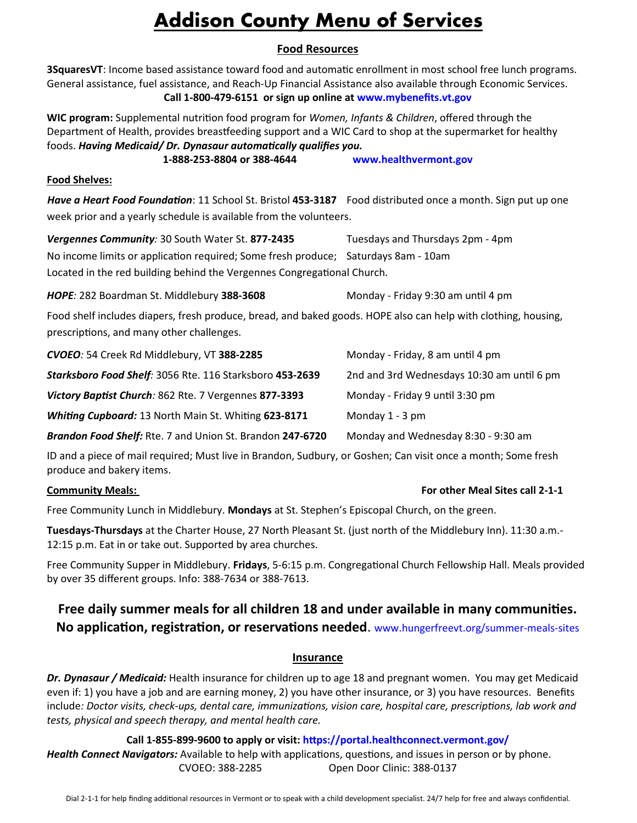## **Addison County Menu of Services**

### **Food Resources**



ID and a piece of mail required; Must live in Brandon, Sudbury, or Goshen; Can visit once a month; Some fresh produce and bakery items.

#### **Community Meals: For other Meal Sites call 2-1-1**

Free Community Lunch in Middlebury. **Mondays** at St. Stephen's Episcopal Church, on the green.

**Tuesdays-Thursdays** at the Charter House, 27 North Pleasant St. (just north of the Middlebury Inn). 11:30 a.m.- 12:15 p.m. Eat in or take out. Supported by area churches.

Free Community Supper in Middlebury. **Fridays**, 5-6:15 p.m. Congregational Church Fellowship Hall. Meals provided by over 35 different groups. Info: 388-7634 or 388-7613.

### **Free daily summer meals for all children 18 and under available in many communities. No application, registration, or reservations needed**. www.hungerfreevt.org/summer-meals-sites

#### **Insurance**

*Dr. Dynasaur / Medicaid:* Health insurance for children up to age 18 and pregnant women. You may get Medicaid even if: 1) you have a job and are earning money, 2) you have other insurance, or 3) you have resources. Benefits include*: Doctor visits, check-ups, dental care, immunizations, vision care, hospital care, prescriptions, lab work and tests, physical and speech therapy, and mental health care.* 

**Call 1-855-899-9600 to apply or visit:<https://portal.healthconnect.vermont.gov/>** *Health Connect Navigators:* Available to help with applications, questions, and issues in person or by phone. CVOEO: 388-2285 Open Door Clinic: 388-0137